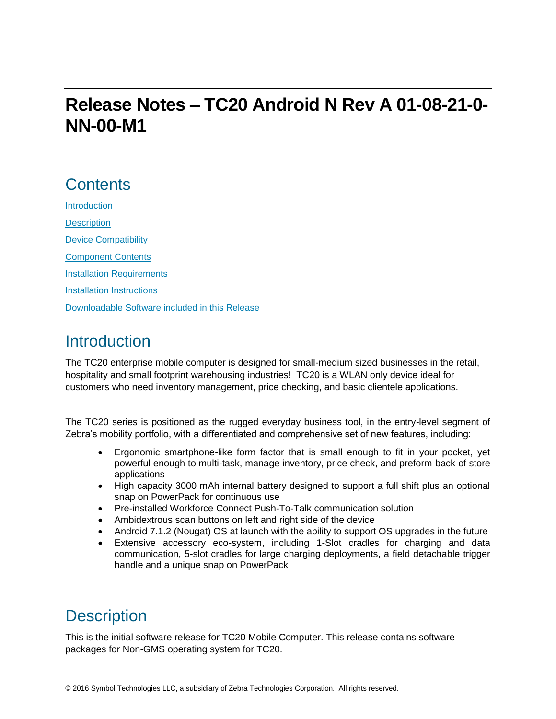# **Release Notes – TC20 Android N Rev A 01-08-21-0- NN-00-M1**

# **Contents**

[Introduction](#page-0-0) **[Description](#page-0-0)** [Device Compatibility](#page-1-0) [Component Contents](#page-1-1) [Installation Requirements](#page-2-0) [Installation Instructions](#page-2-1) [Downloadable Software included in this Release](#page-4-0)

# <span id="page-0-0"></span>**Introduction**

The TC20 enterprise mobile computer is designed for small-medium sized businesses in the retail, hospitality and small footprint warehousing industries! TC20 is a WLAN only device ideal for customers who need inventory management, price checking, and basic clientele applications.

The TC20 series is positioned as the rugged everyday business tool, in the entry-level segment of Zebra's mobility portfolio, with a differentiated and comprehensive set of new features, including:

- Ergonomic smartphone-like form factor that is small enough to fit in your pocket, yet powerful enough to multi-task, manage inventory, price check, and preform back of store applications
- High capacity 3000 mAh internal battery designed to support a full shift plus an optional snap on PowerPack for continuous use
- Pre-installed Workforce Connect Push-To-Talk communication solution
- Ambidextrous scan buttons on left and right side of the device
- Android 7.1.2 (Nougat) OS at launch with the ability to support OS upgrades in the future
- Extensive accessory eco-system, including 1-Slot cradles for charging and data communication, 5-slot cradles for large charging deployments, a field detachable trigger handle and a unique snap on PowerPack

# **Description**

This is the initial software release for TC20 Mobile Computer. This release contains software packages for Non-GMS operating system for TC20.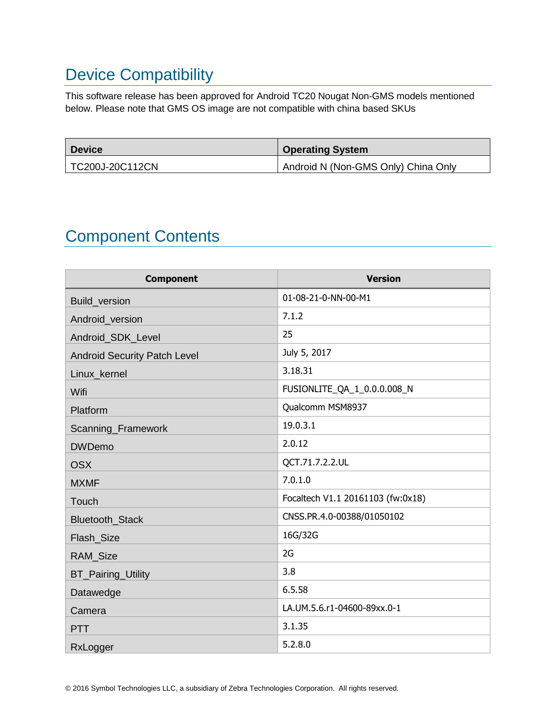# <span id="page-1-0"></span>Device Compatibility

This software release has been approved for Android TC20 Nougat Non-GMS models mentioned below. Please note that GMS OS image are not compatible with china based SKUs

| <b>Device</b>   | <b>Operating System</b>             |
|-----------------|-------------------------------------|
| TC200J-20C112CN | Android N (Non-GMS Only) China Only |

# <span id="page-1-1"></span>Component Contents

| <b>Component</b>                    | <b>Version</b>                    |
|-------------------------------------|-----------------------------------|
| Build_version                       | 01-08-21-0-NN-00-M1               |
| Android_version                     | 7.1.2                             |
| Android_SDK_Level                   | 25                                |
| <b>Android Security Patch Level</b> | July 5, 2017                      |
| Linux_kernel                        | 3.18.31                           |
| Wifi                                | FUSIONLITE_QA_1_0.0.0.008_N       |
| Platform                            | Qualcomm MSM8937                  |
| Scanning_Framework                  | 19.0.3.1                          |
| <b>DWDemo</b>                       | 2.0.12                            |
| <b>OSX</b>                          | QCT.71.7.2.2.UL                   |
| <b>MXMF</b>                         | 7.0.1.0                           |
| Touch                               | Focaltech V1.1 20161103 (fw:0x18) |
| Bluetooth_Stack                     | CNSS.PR.4.0-00388/01050102        |
| Flash_Size                          | 16G/32G                           |
| RAM_Size                            | 2G                                |
| <b>BT_Pairing_Utility</b>           | 3.8                               |
| Datawedge                           | 6.5.58                            |
| Camera                              | LA.UM.5.6.r1-04600-89xx.0-1       |
| <b>PTT</b>                          | 3.1.35                            |
| RxLogger                            | 5.2.8.0                           |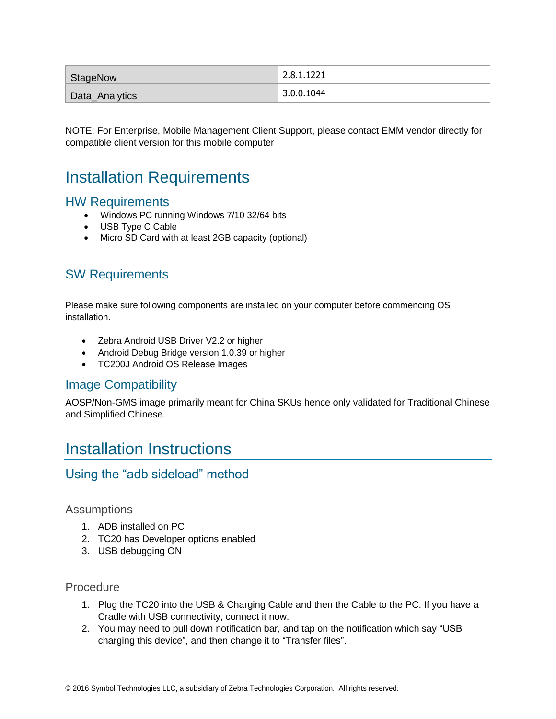| StageNow       | 2.8.1.1221            |
|----------------|-----------------------|
| Data_Analytics | $^{\circ}$ 3.0.0.1044 |

NOTE: For Enterprise, Mobile Management Client Support, please contact EMM vendor directly for compatible client version for this mobile computer

## <span id="page-2-0"></span>Installation Requirements

#### HW Requirements

- Windows PC running Windows 7/10 32/64 bits
- USB Type C Cable
- Micro SD Card with at least 2GB capacity (optional)

### SW Requirements

Please make sure following components are installed on your computer before commencing OS installation.

- Zebra Android USB Driver V2.2 or higher
- Android Debug Bridge version 1.0.39 or higher
- TC200J Android OS Release Images

#### Image Compatibility

AOSP/Non-GMS image primarily meant for China SKUs hence only validated for Traditional Chinese and Simplified Chinese.

## <span id="page-2-1"></span>Installation Instructions

#### Using the "adb sideload" method

#### **Assumptions**

- 1. ADB installed on PC
- 2. TC20 has Developer options enabled
- 3. USB debugging ON

#### Procedure

- 1. Plug the TC20 into the USB & Charging Cable and then the Cable to the PC. If you have a Cradle with USB connectivity, connect it now.
- 2. You may need to pull down notification bar, and tap on the notification which say "USB charging this device", and then change it to "Transfer files".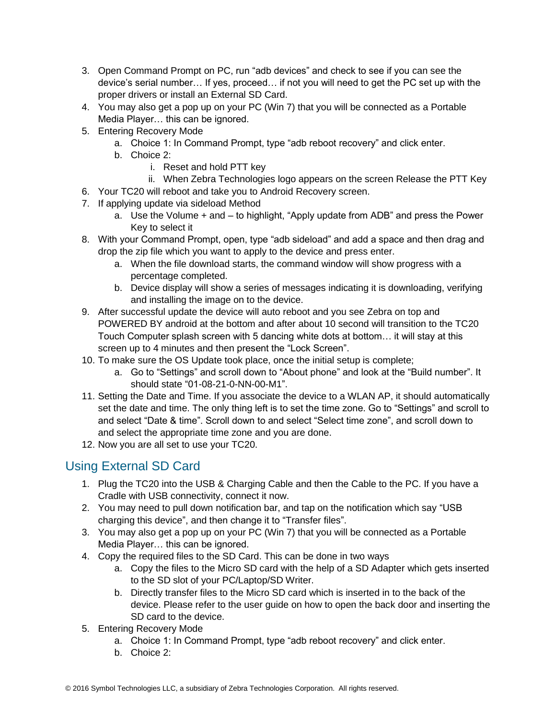- 3. Open Command Prompt on PC, run "adb devices" and check to see if you can see the device's serial number… If yes, proceed… if not you will need to get the PC set up with the proper drivers or install an External SD Card.
- 4. You may also get a pop up on your PC (Win 7) that you will be connected as a Portable Media Player… this can be ignored.
- 5. Entering Recovery Mode
	- a. Choice 1: In Command Prompt, type "adb reboot recovery" and click enter.
	- b. Choice 2:
		- i. Reset and hold PTT key
		- ii. When Zebra Technologies logo appears on the screen Release the PTT Key
- 6. Your TC20 will reboot and take you to Android Recovery screen.
- 7. If applying update via sideload Method
	- a. Use the Volume + and to highlight, "Apply update from ADB" and press the Power Key to select it
- 8. With your Command Prompt, open, type "adb sideload" and add a space and then drag and drop the zip file which you want to apply to the device and press enter.
	- a. When the file download starts, the command window will show progress with a percentage completed.
	- b. Device display will show a series of messages indicating it is downloading, verifying and installing the image on to the device.
- 9. After successful update the device will auto reboot and you see Zebra on top and POWERED BY android at the bottom and after about 10 second will transition to the TC20 Touch Computer splash screen with 5 dancing white dots at bottom… it will stay at this screen up to 4 minutes and then present the "Lock Screen".
- 10. To make sure the OS Update took place, once the initial setup is complete;
	- a. Go to "Settings" and scroll down to "About phone" and look at the "Build number". It should state "01-08-21-0-NN-00-M1".
- 11. Setting the Date and Time. If you associate the device to a WLAN AP, it should automatically set the date and time. The only thing left is to set the time zone. Go to "Settings" and scroll to and select "Date & time". Scroll down to and select "Select time zone", and scroll down to and select the appropriate time zone and you are done.
- 12. Now you are all set to use your TC20.

### Using External SD Card

- 1. Plug the TC20 into the USB & Charging Cable and then the Cable to the PC. If you have a Cradle with USB connectivity, connect it now.
- 2. You may need to pull down notification bar, and tap on the notification which say "USB charging this device", and then change it to "Transfer files".
- 3. You may also get a pop up on your PC (Win 7) that you will be connected as a Portable Media Player… this can be ignored.
- 4. Copy the required files to the SD Card. This can be done in two ways
	- a. Copy the files to the Micro SD card with the help of a SD Adapter which gets inserted to the SD slot of your PC/Laptop/SD Writer.
	- b. Directly transfer files to the Micro SD card which is inserted in to the back of the device. Please refer to the user guide on how to open the back door and inserting the SD card to the device.
- 5. Entering Recovery Mode
	- a. Choice 1: In Command Prompt, type "adb reboot recovery" and click enter.
	- b. Choice 2: